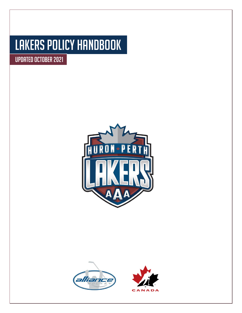# Lakers Policy Handbook

Updated October 2021



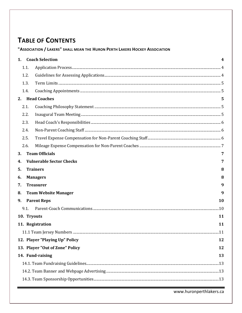# **TABLE OF CONTENTS**

"ASSOCIATION / LAKERS" SHALL MEAN THE HURON PERTH LAKERS HOCKEY ASSOCIATION

|                        |                                 | 1. Coach Selection              | 4  |  |
|------------------------|---------------------------------|---------------------------------|----|--|
|                        | 1.1.                            |                                 |    |  |
|                        | 1.2.                            |                                 |    |  |
|                        | 1.3.                            |                                 |    |  |
|                        | 1.4.                            |                                 |    |  |
|                        |                                 | 2. Head Coaches                 | 5  |  |
|                        | 2.1.                            |                                 |    |  |
|                        | 2.2.                            |                                 |    |  |
|                        | 2.3.                            |                                 |    |  |
|                        | 2.4.                            |                                 |    |  |
|                        | 2.5.                            |                                 |    |  |
|                        | 2.6.                            |                                 |    |  |
| 3.                     |                                 | <b>Team Officials</b>           | 7  |  |
| 4.                     |                                 | <b>Vulnerable Sector Checks</b> | 7  |  |
| 5.                     |                                 | <b>Trainers</b>                 | 8  |  |
| 6.                     |                                 | <b>Managers</b>                 | 8  |  |
| 7.                     |                                 | <b>Treasurer</b>                | 9  |  |
| 8.                     |                                 | <b>Team Website Manager</b>     | 9  |  |
| 9.                     |                                 | <b>Parent Reps</b>              | 10 |  |
|                        | 9.1.                            |                                 |    |  |
|                        |                                 | 10. Tryouts                     | 11 |  |
| 11. Registration<br>11 |                                 |                                 |    |  |
|                        |                                 |                                 |    |  |
|                        | 12. Player "Playing Up" Policy  |                                 |    |  |
|                        | 13. Player "Out of Zone" Policy |                                 |    |  |
|                        | 14. Fund-raising<br>13          |                                 |    |  |
|                        |                                 |                                 |    |  |
|                        |                                 |                                 |    |  |
|                        |                                 |                                 |    |  |
|                        |                                 |                                 |    |  |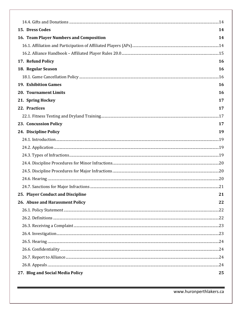| 15. Dress Codes                         | 14        |  |  |
|-----------------------------------------|-----------|--|--|
| 16. Team Player Numbers and Composition | 14        |  |  |
|                                         |           |  |  |
|                                         |           |  |  |
| 17. Refund Policy                       | <b>16</b> |  |  |
| 18. Regular Season                      | 16        |  |  |
|                                         |           |  |  |
| <b>19. Exhibition Games</b>             | 16        |  |  |
| <b>20. Tournament Limits</b>            | <b>16</b> |  |  |
| 21. Spring Hockey                       | 17        |  |  |
| 22. Practices                           | 17        |  |  |
|                                         |           |  |  |
| 23. Concussion Policy                   | 17        |  |  |
| 24. Discipline Policy                   | 19        |  |  |
|                                         |           |  |  |
|                                         |           |  |  |
|                                         |           |  |  |
|                                         |           |  |  |
|                                         |           |  |  |
|                                         |           |  |  |
|                                         |           |  |  |
| 25. Player Conduct and Discipline       | 21        |  |  |
| 26. Abuse and Harassment Policy         | 22        |  |  |
|                                         |           |  |  |
|                                         |           |  |  |
|                                         |           |  |  |
|                                         |           |  |  |
|                                         |           |  |  |
|                                         |           |  |  |
|                                         |           |  |  |
|                                         |           |  |  |
| 27. Blog and Social Media Policy        |           |  |  |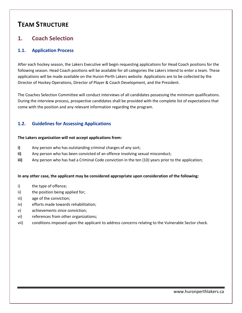# **TEAM STRUCTURE**

# <span id="page-3-0"></span>**1. Coach Selection**

### <span id="page-3-1"></span>**1.1. Application Process**

After each hockey season, the Lakers Executive will begin requesting applications for Head Coach positions for the following season. Head Coach positions will be available for all categories the Lakers intend to enter a team. These applications will be made available on the Huron-Perth Lakers website. Applications are to be collected by the Director of Hockey Operations, Director of Player & Coach Development, and the President.

The Coaches Selection Committee will conduct interviews of all candidates possessing the minimum qualifications. During the interview process, prospective candidates shall be provided with the complete list of expectations that come with the position and any relevant information regarding the program.

### <span id="page-3-2"></span>**1.2. Guidelines for Assessing Applications**

#### **The Lakers organization will not accept applications from:**

- **i)** Any person who has outstanding criminal charges of any sort;
- **ii)** Any person who has been convicted of an offence involving sexual misconduct;
- **iii)** Any person who has had a Criminal Code conviction in the ten (10) years prior to the application;

#### **In any other case, the applicant may be considered appropriate upon consideration of the following:**

- i) the type of offence;
- ii) the position being applied for;
- iii) age of the conviction;
- iv) efforts made towards rehabilitation;
- v) achievements since conviction;
- vi) references from other organizations;
- vii) conditions imposed upon the applicant to address concerns relating to the Vulnerable Sector check.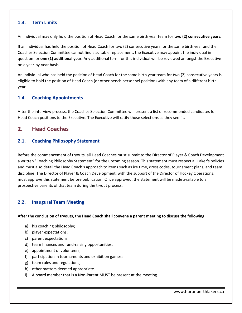### <span id="page-4-0"></span>**1.3. Term Limits**

An individual may only hold the position of Head Coach for the same birth year team for **two (2) consecutive years.**

If an individual has held the position of Head Coach for two (2) consecutive years for the same birth year and the Coaches Selection Committee cannot find a suitable replacement, the Executive may appoint the individual in question for **one (1) additional year.** Any additional term for this individual will be reviewed amongst the Executive on a year-by-year basis.

An individual who has held the position of Head Coach for the same birth year team for two (2) consecutive years is eligible to hold the position of Head Coach (or other bench personnel position) with any team of a different birth year.

### <span id="page-4-1"></span>**1.4. Coaching Appointments**

After the interview process, the Coaches Selection Committee will present a list of recommended candidates for Head Coach positions to the Executive. The Executive will ratify those selections as they see fit.

### <span id="page-4-2"></span>**2. Head Coaches**

### <span id="page-4-3"></span>**2.1. Coaching Philosophy Statement**

Before the commencement of tryouts, all Head Coaches must submit to the Director of Player & Coach Development a written "Coaching Philosophy Statement" for the upcoming season. This statement must respect all Laker's policies and must also detail the Head Coach's approach to items such as ice time, dress codes, tournament plans, and team discipline. The Director of Player & Coach Development, with the support of the Director of Hockey Operations, must approve this statement before publication. Once approved, the statement will be made available to all prospective parents of that team during the tryout process.

### <span id="page-4-4"></span>**2.2. Inaugural Team Meeting**

**After the conclusion of tryouts, the Head Coach shall convene a parent meeting to discuss the following:**

- a) his coaching philosophy;
- b) player expectations;
- c) parent expectations;
- d) team finances and fund-raising opportunities;
- e) appointment of volunteers;
- f) participation in tournaments and exhibition games;
- g) team rules and regulations;
- h) other matters deemed appropriate.
- i) A board member that is a Non-Parent MUST be present at the meeting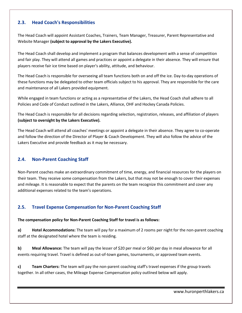### <span id="page-5-0"></span>**2.3. Head Coach's Responsibilities**

The Head Coach will appoint Assistant Coaches, Trainers, Team Manager, Treasurer, Parent Representative and Website Manager **(subject to approval by the Lakers Executive).**

The Head Coach shall develop and implement a program that balances development with a sense of competition and fair play. They will attend all games and practices or appoint a delegate in their absence. They will ensure that players receive fair ice time based on player's ability, attitude, and behaviour.

The Head Coach is responsible for overseeing all team functions both on and off the ice. Day-to-day operations of these functions may be delegated to other team officials subject to his approval. They are responsible for the care and maintenance of all Lakers provided equipment.

While engaged in team functions or acting as a representative of the Lakers, the Head Coach shall adhere to all Policies and Code of Conduct outlined in the Lakers, Alliance, OHF and Hockey Canada Policies.

The Head Coach is responsible for all decisions regarding selection, registration, releases, and affiliation of players **(subject to oversight by the Lakers Executive).**

The Head Coach will attend all coaches' meetings or appoint a delegate in their absence. They agree to co-operate and follow the direction of the Director of Player & Coach Development. They will also follow the advice of the Lakers Executive and provide feedback as it may be necessary.

### <span id="page-5-1"></span>**2.4. Non-Parent Coaching Staff**

Non-Parent coaches make an extraordinary commitment of time, energy, and financial resources for the players on their team. They receive some compensation from the Lakers, but that may not be enough to cover their expenses and mileage. It is reasonable to expect that the parents on the team recognize this commitment and cover any additional expenses related to the team's operations.

### <span id="page-5-2"></span>**2.5. Travel Expense Compensation for Non-Parent Coaching Staff**

**The compensation policy for Non-Parent Coaching Staff for travel is as follows:**

**a) Hotel Accommodations:** The team will pay for a maximum of 2 rooms per night for the non-parent coaching staff at the designated hotel where the team is residing.

**b) Meal Allowance:** The team will pay the lesser of \$20 per meal or \$60 per day in meal allowance for all events requiring travel. Travel is defined as out-of-town games, tournaments, or approved team events.

**c) Team Charters:** The team will pay the non-parent coaching staff's travel expenses if the group travels together. In all other cases, the Mileage Expense Compensation policy outlined below will apply.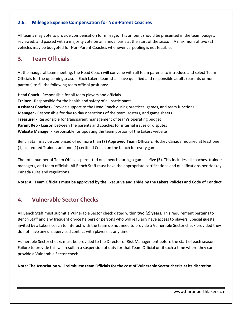### <span id="page-6-0"></span>**2.6. Mileage Expense Compensation for Non-Parent Coaches**

All teams may vote to provide compensation for mileage. This amount should be presented in the team budget, reviewed, and passed with a majority vote on an annual basis at the start of the season. A maximum of two (2) vehicles may be budgeted for Non-Parent Coaches whenever carpooling is not feasible.

# <span id="page-6-1"></span>**3. Team Officials**

At the inaugural team meeting, the Head Coach will convene with all team parents to introduce and select Team Officials for the upcoming season. Each Lakers team shall have qualified and responsible adults (parents or nonparents) to fill the following team official positions:

**Head Coach -** Responsible for all team players and officials **Trainer -** Responsible for the health and safety of all participants **Assistant Coaches -** Provide support to the Head Coach during practices, games, and team functions **Manager -** Responsible for day to day operations of the team, rosters, and game sheets **Treasurer -** Responsible for transparent management of team's operating budget **Parent Rep -** Liaison between the parents and coaches for internal issues or disputes **Website Manager -** Responsible for updating the team portion of the Lakers website

Bench Staff may be comprised of no more than **(7) Approved Team Officials.** Hockey Canada required at least one (1) accredited Trainer, and one (1) certified Coach on the bench for every game.

The total number of Team Officials permitted on a bench during a game is **five (5)**. This includes all coaches, trainers, managers, and team officials. All Bench Staff must have the appropriate certifications and qualifications per Hockey Canada rules and regulations.

**Note: All Team Officials must be approved by the Executive and abide by the Lakers Policies and Code of Conduct.**

# <span id="page-6-2"></span>**4. Vulnerable Sector Checks**

All Bench Staff must submit a Vulnerable Sector check dated within **two (2) years.** This requirement pertains to Bench Staff and any frequent on-ice helpers or persons who will regularly have access to players. Special guests invited by a Lakers coach to interact with the team do not need to provide a Vulnerable Sector check provided they do not have any unsupervised contact with players at any time.

Vulnerable Sector checks must be provided to the Director of Risk Management before the start of each season. Failure to provide this will result in a suspension of duty for that Team Official until such a time where they can provide a Vulnerable Sector check.

**Note: The Association will reimburse team Officials for the cost of Vulnerable Sector checks at its discretion.**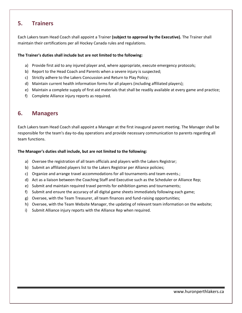# <span id="page-7-0"></span>**5. Trainers**

Each Lakers team Head Coach shall appoint a Trainer **(subject to approval by the Executive).** The Trainer shall maintain their certifications per all Hockey Canada rules and regulations.

#### **The Trainer's duties shall include but are not limited to the following:**

- a) Provide first aid to any injured player and, where appropriate, execute emergency protocols;
- b) Report to the Head Coach and Parents when a severe injury is suspected;
- c) Strictly adhere to the Lakers Concussion and Return to Play Policy;
- d) Maintain current health information forms for all players (including affiliated players);
- e) Maintain a complete supply of first aid materials that shall be readily available at every game and practice;
- f) Complete Alliance injury reports as required.

### <span id="page-7-1"></span>**6. Managers**

Each Lakers team Head Coach shall appoint a Manager at the first inaugural parent meeting. The Manager shall be responsible for the team's day-to-day operations and provide necessary communication to parents regarding all team functions.

#### **The Manager's duties shall include, but are not limited to the following:**

- a) Oversee the registration of all team officials and players with the Lakers Registrar;
- b) Submit an affiliated players list to the Lakers Registrar per Alliance policies;
- c) Organize and arrange travel accommodations for all tournaments and team events.;
- d) Act as a liaison between the Coaching Staff and Executive such as the Scheduler or Alliance Rep;
- e) Submit and maintain required travel permits for exhibition games and tournaments;
- f) Submit and ensure the accuracy of all digital game sheets immediately following each game;
- g) Oversee, with the Team Treasurer, all team finances and fund-raising opportunities;
- h) Oversee, with the Team Website Manager, the updating of relevant team information on the website;
- i) Submit Alliance injury reports with the Alliance Rep when required.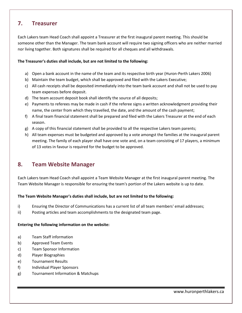# <span id="page-8-0"></span>**7. Treasurer**

Each Lakers team Head Coach shall appoint a Treasurer at the first inaugural parent meeting. This should be someone other than the Manager. The team bank account will require two signing officers who are neither married nor living together. Both signatures shall be required for all cheques and all withdrawals.

#### **The Treasurer's duties shall include, but are not limited to the following:**

- a) Open a bank account in the name of the team and its respective birth year (Huron-Perth Lakers 2006)
- b) Maintain the team budget, which shall be approved and filed with the Lakers Executive;
- c) All cash receipts shall be deposited immediately into the team bank account and shall not be used to pay team expenses before deposit.
- d) The team account deposit book shall identify the source of all deposits;
- e) Payments to referees may be made in cash if the referee signs a written acknowledgment providing their name, the center from which they travelled, the date, and the amount of the cash payment;
- f) A final team financial statement shall be prepared and filed with the Lakers Treasurer at the end of each season.
- g) A copy of this financial statement shall be provided to all the respective Lakers team parents;
- h) All team expenses must be budgeted and approved by a vote amongst the families at the inaugural parent meeting. The family of each player shall have one vote and, on a team consisting of 17 players, a minimum of 13 votes in favour is required for the budget to be approved.

# <span id="page-8-1"></span>**8. Team Website Manager**

Each Lakers team Head Coach shall appoint a Team Website Manager at the first inaugural parent meeting. The Team Website Manager is responsible for ensuring the team's portion of the Lakers website is up to date.

#### **The Team Website Manager's duties shall include, but are not limited to the following:**

- i) Ensuring the Director of Communications has a current list of all team members' email addresses;
- ii) Posting articles and team accomplishments to the designated team page.

#### **Entering the following information on the website:**

- a) Team Staff information
- b) Approved Team Events
- c) Team Sponsor Information
- d) Player Biographies
- e) Tournament Results
- f) Individual Player Sponsors
- g) Tournament Information & Matchups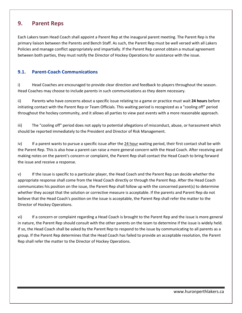# <span id="page-9-0"></span>**9. Parent Reps**

Each Lakers team Head Coach shall appoint a Parent Rep at the inaugural parent meeting. The Parent Rep is the primary liaison between the Parents and Bench Staff. As such, the Parent Rep must be well versed with all Lakers Policies and manage conflict appropriately and impartially. If the Parent Rep cannot obtain a mutual agreement between both parties, they must notify the Director of Hockey Operations for assistance with the issue.

### <span id="page-9-1"></span>**9.1. Parent-Coach Communications**

i) Head Coaches are encouraged to provide clear direction and feedback to players throughout the season. Head Coaches may choose to include parents in such communications as they deem necessary.

ii) Parents who have concerns about a specific issue relating to a game or practice must wait **24 hours** before initiating contact with the Parent Rep or Team Officials. This waiting period is recognized as a "cooling off" period throughout the hockey community, and it allows all parties to view past events with a more reasonable approach.

iii) The "cooling off" period does not apply to potential allegations of misconduct, abuse, or harassment which should be reported immediately to the President and Director of Risk Management.

iv) If a parent wants to pursue a specific issue after the 24 hour waiting period, their first contact shall be with the Parent Rep. This is also how a parent can raise a more general concern with the Head Coach. After receiving and making notes on the parent's concern or complaint, the Parent Rep shall contact the Head Coach to bring forward the issue and receive a response.

v) If the issue is specific to a particular player, the Head Coach and the Parent Rep can decide whether the appropriate response shall come from the Head Coach directly or through the Parent Rep. After the Head Coach communicates his position on the issue, the Parent Rep shall follow up with the concerned parent(s) to determine whether they accept that the solution or corrective measure is acceptable. If the parents and Parent Rep do not believe that the Head Coach's position on the issue is acceptable, the Parent Rep shall refer the matter to the Director of Hockey Operations.

vi) If a concern or complaint regarding a Head Coach is brought to the Parent Rep and the issue is more general in nature, the Parent Rep should consult with the other parents on the team to determine if the issue is widely held. If so, the Head Coach shall be asked by the Parent Rep to respond to the issue by communicating to all parents as a group. If the Parent Rep determines that the Head Coach has failed to provide an acceptable resolution, the Parent Rep shall refer the matter to the Director of Hockey Operations.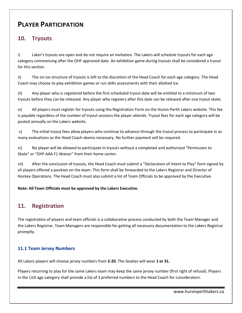# **PLAYER PARTICIPATION**

# <span id="page-10-0"></span>**10. Tryouts**

i) Laker's tryouts are open and do not require an invitation. The Lakers will schedule tryouts for each age category commencing after the OHF approved date. An exhibition game during tryouts shall be considered a tryout for this section.

ii) The on-ice structure of tryouts is left to the discretion of the Head Coach for each age category. The Head Coach may choose to play exhibition games or run skills assessments with their allotted ice.

iii) Any player who is registered before the first scheduled tryout date will be entitled to a minimum of two tryouts before they can be released. Any player who registers after this date can be released after one tryout skate.

iv) All players must register for tryouts using the Registration Form on the Huron-Perth Lakers website. This fee is payable regardless of the number of tryout sessions the player attends. Tryout fees for each age category will be posted annually on the Lakers website.

v) The initial tryout fees allow players who continue to advance through the tryout process to participate in as many evaluations as the Head Coach deems necessary. No further payment will be required.

vi) No player will be allowed to participate in tryouts without a completed and authorized "Permission to Skate" or "OHF AAA F1 Waiver" from their home center.

vii) After the conclusion of tryouts, the Head Coach must submit a "Declaration of Intent to Play" form signed by all players offered a position on the team. This form shall be forwarded to the Lakers Registrar and Director of Hockey Operations. The Head Coach must also submit a list of Team Officials to be approved by the Executive.

**Note: All Team Officials must be approved by the Lakers Executive.**

# <span id="page-10-1"></span>**11. Registration**

The registration of players and team officials is a collaborative process conducted by both the Team Manager and the Lakers Registrar. Team Managers are responsible for getting all necessary documentation to the Lakers Registrar promptly.

### <span id="page-10-2"></span>**11.1 Team Jersey Numbers**

All Lakers players will choose jersey numbers from **2-20.** The Goalies will wear **1 or 31.**

Players returning to play for the same Lakers team may keep the same jersey number (first right of refusal). Players in the U10 age category shall provide a list of 3 preferred numbers to the Head Coach for consideration.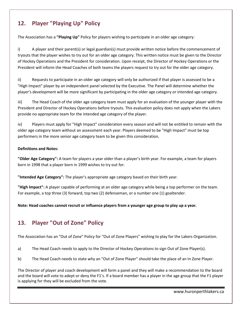# <span id="page-11-0"></span>**12. Player "Playing Up" Policy**

The Association has a **"Playing Up"** Policy for players wishing to participate in an older age category:

i) A player and their parent(s) or legal guardian(s) must provide written notice before the commencement of tryouts that the player wishes to try out for an older age category. This written notice must be given to the Director of Hockey Operations and the President for consideration. Upon receipt, the Director of Hockey Operations or the President will inform the Head Coaches of both teams the players request to try out for the older age category.

ii) Requests to participate in an older age category will only be authorized if that player is assessed to be a "High Impact" player by an independent panel selected by the Executive. The Panel will determine whether the player's development will be more significant by participating in the older age category or intended age category.

iii) The Head Coach of the older age category team must apply for an evaluation of the younger player with the President and Director of Hockey Operations before tryouts. This evaluation policy does not apply when the Lakers provide no appropriate team for the intended age category of the player.

iv) Players must apply for "High Impact" consideration every season and will not be entitled to remain with the older age category team without an assessment each year. Players deemed to be "High Impact" must be top performers in the more senior age category team to be given this consideration.

### **Definitions and Notes:**

**"Older Age Category":** A team for players a year older than a player's birth year. For example, a team for players born in 1998 that a player born in 1999 wishes to try out for.

**"Intended Age Category":** The player's appropriate age category based on their birth year.

**"High Impact":** A player capable of performing at an older age category while being a top performer on the team. For example, a top three (3) forward, top two (2) defenseman, or a number one (1) goaltender.

**Note: Head coaches cannot recruit or influence players from a younger age group to play up a year.**

# <span id="page-11-1"></span>**13. Player "Out of Zone" Policy**

The Association has an "Out of Zone" Policy for "Out of Zone Players" wishing to play for the Lakers Organization.

- a) The Head Coach needs to apply to the Director of Hockey Operations to sign Out of Zone Player(s).
- b) The Head Coach needs to state why an "Out of Zone Player" should take the place of an In Zone Player.

The Director of player and coach development will form a panel and they will make a recommendation to the board and the board will vote to adept or deny the F1's. If a board member has a player in the age group that the F1 player is applying for they will be excluded from the vote.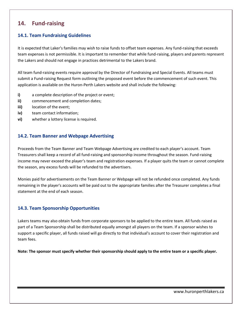# <span id="page-12-0"></span>**14. Fund-raising**

### <span id="page-12-1"></span>**14.1. Team Fundraising Guidelines**

It is expected that Laker's families may wish to raise funds to offset team expenses. Any fund-raising that exceeds team expenses is not permissible. It is important to remember that while fund-raising, players and parents represent the Lakers and should not engage in practices detrimental to the Lakers brand.

All team fund-raising events require approval by the Director of Fundraising and Special Events. All teams must submit a Fund-raising Request form outlining the proposed event before the commencement of such event. This application is available on the Huron-Perth Lakers website and shall include the following:

- **i)** a complete description of the project or event;
- **ii)** commencement and completion dates;
- **iii)** location of the event;
- **iv)** team contact information;
- **vi)** whether a lottery license is required.

### <span id="page-12-2"></span>**14.2. Team Banner and Webpage Advertising**

Proceeds from the Team Banner and Team Webpage Advertising are credited to each player's account. Team Treasurers shall keep a record of all fund-raising and sponsorship income throughout the season. Fund-raising income may never exceed the player's team and registration expenses. If a player quits the team or cannot complete the season, any excess funds will be refunded to the advertisers.

Monies paid for advertisements on the Team Banner or Webpage will not be refunded once completed. Any funds remaining in the player's accounts will be paid out to the appropriate families after the Treasurer completes a final statement at the end of each season.

### <span id="page-12-3"></span>**14.3. Team Sponsorship Opportunities**

Lakers teams may also obtain funds from corporate sponsors to be applied to the entire team. All funds raised as part of a Team Sponsorship shall be distributed equally amongst all players on the team. If a sponsor wishes to support a specific player, all funds raised will go directly to that individual's account to cover their registration and team fees.

**Note: The sponsor must specify whether their sponsorship should apply to the entire team or a specific player.**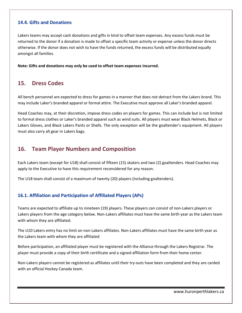### <span id="page-13-0"></span>**14.4. Gifts and Donations**

Lakers teams may accept cash donations and gifts in kind to offset team expenses. Any excess funds must be returned to the donor if a donation is made to offset a specific team activity or expense unless the donor directs otherwise. If the donor does not wish to have the funds returned, the excess funds will be distributed equally amongst all families.

**Note: Gifts and donations may only be used to offset team expenses incurred.**

# <span id="page-13-1"></span>**15. Dress Codes**

All bench personnel are expected to dress for games in a manner that does not detract from the Lakers brand. This may include Laker's branded apparel or formal attire. The Executive must approve all Laker's branded apparel.

Head Coaches may, at their discretion, impose dress codes on players for games. This can include but is not limited to formal dress clothes or Laker's branded apparel such as wind suits. All players must wear Black Helmets, Black or Lakers Gloves, and Black Lakers Pants or Shells. The only exception will be the goaltender's equipment. All players must also carry all gear in Lakers bags.

# <span id="page-13-2"></span>**16. Team Player Numbers and Composition**

Each Lakers team (except for U18) shall consist of fifteen (15) skaters and two (2) goaltenders. Head Coaches may apply to the Executive to have this requirement reconsidered for any reason.

The U18 team shall consist of a maximum of twenty (20) players (including goaltenders).

### <span id="page-13-3"></span>**16.1. Affiliation and Participation of Affiliated Players (APs)**

Teams are expected to affiliate up to nineteen (19) players. These players can consist of non-Lakers players or Lakers players from the age category below. Non-Lakers affiliates must have the same birth year as the Lakers team with whom they are affiliated.

The U10 Lakers entry has no limit on non-Lakers affiliates. Non-Lakers affiliates must have the same birth year as the Lakers team with whom they are affiliated

Before participation, an affiliated player must be registered with the Alliance through the Lakers Registrar. The player must provide a copy of their birth certificate and a signed affiliation form from their home center.

Non-Lakers players cannot be registered as affiliates until their try-outs have been completed and they are carded with an official Hockey Canada team.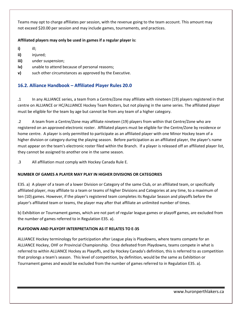Teams may opt to charge affiliates per session, with the revenue going to the team account. This amount may not exceed \$20.00 per session and may include games, tournaments, and practices.

### **Affiliated players may only be used in games if a regular player is:**

- **i)** ill;
- **ii)** injured;
- **iii)** under suspension;
- **iv)** unable to attend because of personal reasons;
- **v)** such other circumstances as approved by the Executive.

# <span id="page-14-0"></span>**16.2. Alliance Handbook – Affiliated Player Rules 20.0**

.1 In any ALLIANCE series, a team from a Centre/Zone may affiliate with nineteen (19) players registered in that centre on ALLIANCE or HC/ALLIANCE Hockey Team Rosters, but not playing in the same series. The affiliated player must be eligible for the team by age but cannot be from any team of a higher category.

.2 A team from a Centre/Zone may affiliate nineteen (19) players from within that Centre/Zone who are registered on an approved electronic roster. Affiliated players must be eligible for the Centre/Zone by residence or home centre. A player is only permitted to participate as an affiliated player with one Minor Hockey team of a higher division or category during the playing season. Before participation as an affiliated player, the player's name must appear on the team's electronic roster filed within the Branch. If a player is released off an affiliated player list, they cannot be assigned to another one in the same season.

.3 All affiliation must comply with Hockey Canada Rule E.

### **NUMBER OF GAMES A PLAYER MAY PLAY IN HIGHER DIVISIONS OR CATEGORIES**

E35. a) A player of a team of a lower Division or Category of the same Club, or an affiliated team, or specifically affiliated player, may affiliate to a team or teams of higher Divisions and Categories at any time, to a maximum of ten (10) games. However, if the player's registered team completes its Regular Season and playoffs before the player's affiliated team or teams, the player may after that affiliate an unlimited number of times.

b) Exhibition or Tournament games, which are not part of regular league games or playoff games, are excluded from the number of games referred to in Regulation E35. a).

### **PLAYDOWN AND PLAYOFF INTERPRETATION AS IT RELATES TO E-35**

ALLIANCE Hockey terminology for participation after League play is Playdowns, where teams compete for an ALLIANCE Hockey, OHF or Provincial Championship. Once defeated from Playdowns, teams compete in what is referred to within ALLIANCE Hockey as Playoffs, and by Hockey Canada's definition, this is referred to as competition that prolongs a team's season. This level of competition, by definition, would be the same as Exhibition or Tournament games and would be excluded from the number of games referred to in Regulation E35. a).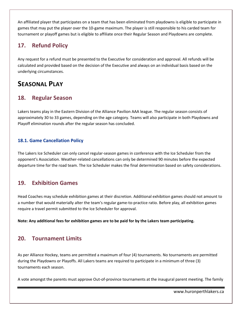An affiliated player that participates on a team that has been eliminated from playdowns is eligible to participate in games that may put the player over the 10-game maximum. The player is still responsible to his carded team for tournament or playoff games but is eligible to affiliate once their Regular Season and Playdowns are complete.

# <span id="page-15-0"></span>**17. Refund Policy**

Any request for a refund must be presented to the Executive for consideration and approval. All refunds will be calculated and provided based on the decision of the Executive and always on an individual basis based on the underlying circumstances.

# **SEASONAL PLAY**

# <span id="page-15-1"></span>**18. Regular Season**

Lakers teams play in the Eastern Division of the Alliance Pavilion AAA league. The regular season consists of approximately 30 to 33 games, depending on the age category. Teams will also participate in both Playdowns and Playoff elimination rounds after the regular season has concluded.

### <span id="page-15-2"></span>**18.1. Game Cancellation Policy**

The Lakers Ice Scheduler can only cancel regular-season games in conference with the Ice Scheduler from the opponent's Association. Weather-related cancellations can only be determined 90 minutes before the expected departure time for the road team. The Ice Scheduler makes the final determination based on safety considerations.

# <span id="page-15-3"></span>**19. Exhibition Games**

Head Coaches may schedule exhibition games at their discretion. Additional exhibition games should not amount to a number that would materially alter the team's regular game-to-practice ratio. Before play, all exhibition games require a travel permit submitted to the Ice Scheduler for approval.

**Note: Any additional fees for exhibition games are to be paid for by the Lakers team participating.**

# <span id="page-15-4"></span>**20. Tournament Limits**

As per Alliance Hockey, teams are permitted a maximum of four (4) tournaments. No tournaments are permitted during the Playdowns or Playoffs. All Lakers teams are required to participate in a minimum of three (3) tournaments each season.

A vote amongst the parents must approve Out-of-province tournaments at the inaugural parent meeting. The family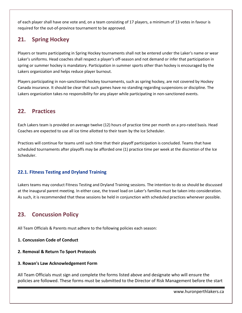of each player shall have one vote and, on a team consisting of 17 players, a minimum of 13 votes in favour is required for the out-of-province tournament to be approved.

# <span id="page-16-0"></span>**21. Spring Hockey**

Players or teams participating in Spring Hockey tournaments shall not be entered under the Laker's name or wear Laker's uniforms. Head coaches shall respect a player's off-season and not demand or infer that participation in spring or summer hockey is mandatory. Participation in summer sports other than hockey is encouraged by the Lakers organization and helps reduce player burnout.

Players participating in non-sanctioned hockey tournaments, such as spring hockey, are not covered by Hockey Canada insurance. It should be clear that such games have no standing regarding suspensions or discipline. The Lakers organization takes no responsibility for any player while participating in non-sanctioned events.

# <span id="page-16-1"></span>**22. Practices**

Each Lakers team is provided on average twelve (12) hours of practice time per month on a pro-rated basis. Head Coaches are expected to use all ice time allotted to their team by the Ice Scheduler.

Practices will continue for teams until such time that their playoff participation is concluded. Teams that have scheduled tournaments after playoffs may be afforded one (1) practice time per week at the discretion of the Ice Scheduler.

### <span id="page-16-2"></span>**22.1. Fitness Testing and Dryland Training**

Lakers teams may conduct Fitness Testing and Dryland Training sessions. The intention to do so should be discussed at the inaugural parent meeting. In either case, the travel load on Laker's families must be taken into consideration. As such, it is recommended that these sessions be held in conjunction with scheduled practices whenever possible.

# <span id="page-16-3"></span>**23. Concussion Policy**

All Team Officials & Parents must adhere to the following policies each season:

### **1. Concussion Code of Conduct**

### **2. Removal & Return To Sport Protocols**

### **3. Rowan's Law Acknowledgement Form**

All Team Officials must sign and complete the forms listed above and designate who will ensure the policies are followed. These forms must be submitted to the Director of Risk Management before the start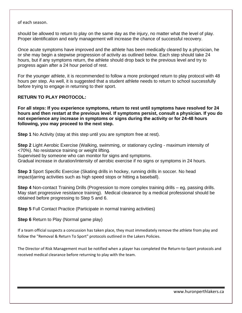of each season.

should be allowed to return to play on the same day as the injury, no matter what the level of play. Proper identification and early management will increase the chance of successful recovery.

Once acute symptoms have improved and the athlete has been medically cleared by a physician, he or she may begin a stepwise progression of activity as outlined below. Each step should take 24 hours, but if any symptoms return, the athlete should drop back to the previous level and try to progress again after a 24 hour period of rest.

For the younger athlete, it is recommended to follow a more prolonged return to play protocol with 48 hours per step. As well, it is suggested that a student athlete needs to return to school successfully before trying to engage in returning to their sport.

### **RETURN TO PLAY PROTOCOL:**

**For all steps: If you experience symptoms, return to rest until symptoms have resolved for 24 hours and then restart at the previous level. If symptoms persist, consult a physician. If you do not experience any increase in symptoms or signs during the activity or for 24-48 hours following, you may proceed to the next step.** 

**Step 1** No Activity (stay at this step until you are symptom free at rest).

**Step 2** Light Aerobic Exercise (Walking, swimming, or stationary cycling - maximum intensity of <70%). No resistance training or weight lifting. Supervised by someone who can monitor for signs and symptoms. Gradual increase in duration/intensity of aerobic exercise if no signs or symptoms in 24 hours.

**Step 3** Sport Specific Exercise (Skating drills in hockey, running drills in soccer. No head impact/jarring activities such as high speed stops or hitting a baseball).

**Step 4** Non-contact Training Drills (Progression to more complex training drills – eg, passing drills. May start progressive resistance training). Medical clearance by a medical professional should be obtained before progressing to Step 5 and 6.

**Step 5** Full Contact Practice (Participate in normal training activities)

**Step 6** Return to Play (Normal game play)

If a team official suspects a concussion has taken place, they must immediately remove the athlete from play and follow the "Removal & Return To Sport" protocols outlined in the Lakers Policies.

The Director of Risk Management must be notified when a player has completed the Return-to-Sport protocols and received medical clearance before returning to play with the team.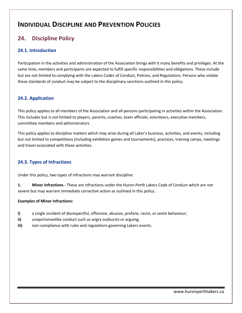# **INDIVIDUAL DISCIPLINE AND PREVENTION POLICIES**

# <span id="page-18-0"></span>**24. Discipline Policy**

### <span id="page-18-1"></span>**24.1. Introduction**

Participation in the activities and administration of the Association brings with it many benefits and privileges. At the same time, members and participants are expected to fulfill specific responsibilities and obligations. These include but are not limited to complying with the Lakers Codes of Conduct, Policies, and Regulations. Persons who violate these standards of conduct may be subject to the disciplinary sanctions outlined in this policy.

### <span id="page-18-2"></span>**24.2. Application**

This policy applies to all members of the Association and all persons participating in activities within the Association. This includes but is not limited to players, parents, coaches, team officials, volunteers, executive members, committee members and administrators.

This policy applies to discipline matters which may arise during all Laker's business, activities, and events, including but not limited to competitions (including exhibition games and tournaments), practices, training camps, meetings and travel associated with these activities.

### <span id="page-18-3"></span>**24.3. Types of Infractions**

Under this policy, two types of infractions may warrant discipline:

**1. Minor Infractions -** These are infractions under the Huron-Perth Lakers Code of Conduct which are not severe but may warrant immediate corrective action as outlined in this policy.

#### **Examples of Minor Infractions:**

- **i)** a single incident of disrespectful, offensive, abusive, profane, racist, or sexist behaviour;
- **ii)** unsportsmanlike conduct such as angry outbursts or arguing;
- **iii)** non-compliance with rules and regulations governing Lakers events.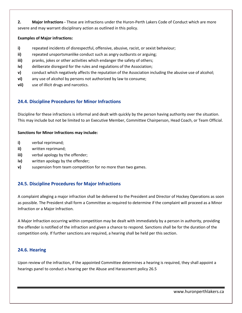**2. Major Infractions -** These are infractions under the Huron-Perth Lakers Code of Conduct which are more severe and may warrant disciplinary action as outlined in this policy.

#### **Examples of Major infractions:**

- **i)** repeated incidents of disrespectful, offensive, abusive, racist, or sexist behaviour;
- **ii)** repeated unsportsmanlike conduct such as angry outbursts or arguing;
- **iii)** pranks, jokes or other activities which endanger the safety of others;
- **iv)** deliberate disregard for the rules and regulations of the Association;
- **v)** conduct which negatively affects the reputation of the Association including the abusive use of alcohol;
- **vi)** any use of alcohol by persons not authorized by law to consume;
- **vii)** use of illicit drugs and narcotics.

### <span id="page-19-0"></span>**24.4. Discipline Procedures for Minor Infractions**

Discipline for these infractions is informal and dealt with quickly by the person having authority over the situation. This may include but not be limited to an Executive Member, Committee Chairperson, Head Coach, or Team Official.

#### **Sanctions for Minor Infractions may include:**

- **i)** verbal reprimand;
- **ii)** written reprimand;
- **iii)** verbal apology by the offender;
- **iv)** written apology by the offender;
- **v)** suspension from team competition for no more than two games.

### <span id="page-19-1"></span>**24.5. Discipline Procedures for Major Infractions**

A complaint alleging a major infraction shall be delivered to the President and Director of Hockey Operations as soon as possible. The President shall form a Committee as required to determine if the complaint will proceed as a Minor Infraction or a Major Infraction.

A Major Infraction occurring within competition may be dealt with immediately by a person in authority, providing the offender is notified of the infraction and given a chance to respond. Sanctions shall be for the duration of the competition only. If further sanctions are required, a hearing shall be held per this section.

### <span id="page-19-2"></span>**24.6. Hearing**

Upon review of the infraction, if the appointed Committee determines a hearing is required, they shall appoint a hearings panel to conduct a hearing per the Abuse and Harassment policy 26.5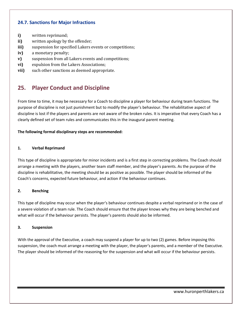### <span id="page-20-0"></span>**24.7. Sanctions for Major Infractions**

- **i)** written reprimand;
- **ii)** written apology by the offender;
- **iii)** suspension for specified Lakers events or competitions;
- **iv)** a monetary penalty;
- **v)** suspension from all Lakers events and competitions;
- **vi)** expulsion from the Lakers Associations;
- **vii)** such other sanctions as deemed appropriate.

# <span id="page-20-1"></span>**25. Player Conduct and Discipline**

From time to time, it may be necessary for a Coach to discipline a player for behaviour during team functions. The purpose of discipline is not just punishment but to modify the player's behaviour. The rehabilitative aspect of discipline is lost if the players and parents are not aware of the broken rules. It is imperative that every Coach has a clearly defined set of team rules and communicates this in the inaugural parent meeting.

#### **The following formal disciplinary steps are recommended:**

#### **1. Verbal Reprimand**

This type of discipline is appropriate for minor incidents and is a first step in correcting problems. The Coach should arrange a meeting with the players, another team staff member, and the player's parents. As the purpose of the discipline is rehabilitative, the meeting should be as positive as possible. The player should be informed of the Coach's concerns, expected future behaviour, and action if the behaviour continues.

#### **2. Benching**

This type of discipline may occur when the player's behaviour continues despite a verbal reprimand or in the case of a severe violation of a team rule. The Coach should ensure that the player knows why they are being benched and what will occur if the behaviour persists. The player's parents should also be informed.

#### **3. Suspension**

With the approval of the Executive, a coach may suspend a player for up to two (2) games. Before imposing this suspension, the coach must arrange a meeting with the player, the player's parents, and a member of the Executive. The player should be informed of the reasoning for the suspension and what will occur if the behaviour persists.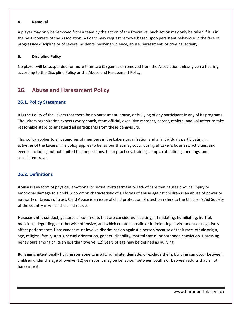#### **4. Removal**

A player may only be removed from a team by the action of the Executive. Such action may only be taken if it is in the best interests of the Association. A Coach may request removal based upon persistent behaviour in the face of progressive discipline or of severe incidents involving violence, abuse, harassment, or criminal activity.

#### **5. Discipline Policy**

No player will be suspended for more than two (2) games or removed from the Association unless given a hearing according to the Discipline Policy or the Abuse and Harassment Policy.

# <span id="page-21-0"></span>**26. Abuse and Harassment Policy**

### <span id="page-21-1"></span>**26.1. Policy Statement**

It is the Policy of the Lakers that there be no harassment, abuse, or bullying of any participant in any of its programs. The Lakers organization expects every coach, team official, executive member, parent, athlete, and volunteer to take reasonable steps to safeguard all participants from these behaviours.

This policy applies to all categories of members in the Lakers organization and all individuals participating in activities of the Lakers. This policy applies to behaviour that may occur during all Laker's business, activities, and events, including but not limited to competitions, team practices, training camps, exhibitions, meetings, and associated travel.

### <span id="page-21-2"></span>**26.2. Definitions**

**Abuse** is any form of physical, emotional or sexual mistreatment or lack of care that causes physical injury or emotional damage to a child. A common characteristic of all forms of abuse against children is an abuse of power or authority or breach of trust. Child Abuse is an issue of child protection. Protection refers to the Children's Aid Society of the country in which the child resides.

**Harassment** is conduct, gestures or comments that are considered insulting, intimidating, humiliating, hurtful, malicious, degrading, or otherwise offensive, and which create a hostile or intimidating environment or negatively affect performance. Harassment must involve discrimination against a person because of their race, ethnic origin, age, religion, family status, sexual orientation, gender, disability, marital status, or pardoned conviction. Harassing behaviours among children less than twelve (12) years of age may be defined as bullying.

**Bullying** is intentionally hurting someone to insult, humiliate, degrade, or exclude them. Bullying can occur between children under the age of twelve (12) years, or it may be behaviour between youths or between adults that is not harassment.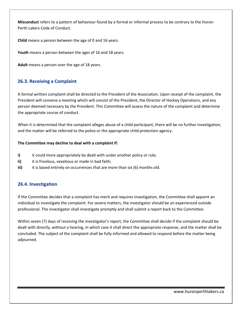**Misconduct** refers to a pattern of behaviour found by a formal or informal process to be contrary to the Huron-Perth Lakers Code of Conduct.

**Child** means a person between the age of 0 and 16 years.

**Youth** means a person between the ages of 16 and 18 years.

**Adult** means a person over the age of 18 years.

### <span id="page-22-0"></span>**26.3. Receiving a Complaint**

A formal written complaint shall be directed to the President of the Association. Upon receipt of the complaint, the President will convene a meeting which will consist of the President, the Director of Hockey Operations, and any person deemed necessary by the President. This Committee will assess the nature of the complaint and determine the appropriate course of conduct.

When it is determined that the complaint alleges abuse of a child participant, there will be no further investigation, and the matter will be referred to the police or the appropriate child protection agency.

#### **The Committee may decline to deal with a complaint if:**

- **i)** it could more appropriately be dealt with under another policy or rule;
- **ii)** it is frivolous, vexatious or made in bad faith;
- **iii)** it is based entirely on occurrences that are more than six (6) months old.

### <span id="page-22-1"></span>**26.4. Investigation**

If the Committee decides that a complaint has merit and requires investigation, the Committee shall appoint an individual to investigate the complaint. For severe matters, the investigator should be an experienced outside professional. The investigator shall investigate promptly and shall submit a report back to the Committee.

Within seven (7) days of receiving the investigator's report, the Committee shall decide if the complaint should be dealt with directly, without a hearing, in which case it shall direct the appropriate response, and the matter shall be concluded. The subject of the complaint shall be fully informed and allowed to respond before the matter being adjourned.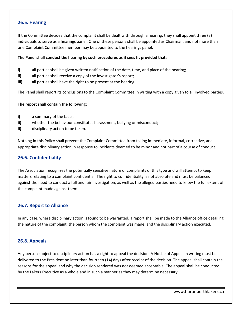### <span id="page-23-0"></span>**26.5. Hearing**

If the Committee decides that the complaint shall be dealt with through a hearing, they shall appoint three (3) individuals to serve as a hearings panel. One of these persons shall be appointed as Chairman, and not more than one Complaint Committee member may be appointed to the hearings panel.

#### **The Panel shall conduct the hearing by such procedures as it sees fit provided that:**

- **i)** all parties shall be given written notification of the date, time, and place of the hearing;
- **ii)** all parties shall receive a copy of the investigator's report;
- **iii)** all parties shall have the right to be present at the hearing.

The Panel shall report its conclusions to the Complaint Committee in writing with a copy given to all involved parties.

#### **The report shall contain the following:**

- **i)** a summary of the facts;
- **ii)** whether the behaviour constitutes harassment, bullying or misconduct;
- **ii)** disciplinary action to be taken.

Nothing in this Policy shall prevent the Complaint Committee from taking immediate, informal, corrective, and appropriate disciplinary action in response to incidents deemed to be minor and not part of a course of conduct.

### <span id="page-23-1"></span>**26.6. Confidentiality**

The Association recognizes the potentially sensitive nature of complaints of this type and will attempt to keep matters relating to a complaint confidential. The right to confidentiality is not absolute and must be balanced against the need to conduct a full and fair investigation, as well as the alleged parties need to know the full extent of the complaint made against them.

### <span id="page-23-2"></span>**26.7. Report to Alliance**

In any case, where disciplinary action is found to be warranted, a report shall be made to the Alliance office detailing the nature of the complaint, the person whom the complaint was made, and the disciplinary action executed.

### <span id="page-23-3"></span>**26.8. Appeals**

Any person subject to disciplinary action has a right to appeal the decision. A Notice of Appeal in writing must be delivered to the President no later than fourteen (14) days after receipt of the decision. The appeal shall contain the reasons for the appeal and why the decision rendered was not deemed acceptable. The appeal shall be conducted by the Lakers Executive as a whole and in such a manner as they may determine necessary.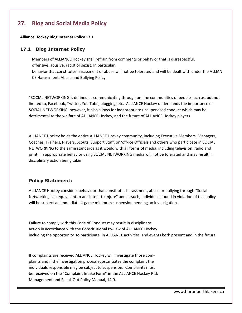# <span id="page-24-0"></span>**27. Blog and Social Media Policy**

#### **Alliance Hockey Blog Internet Policy 17.1**

#### **17.1 Blog Internet Policy**

Members of ALLIANCE Hockey shall refrain from comments or behavior that is disrespectful, offensive, abusive, racist or sexist. In particular,

behavior that constitutes harassment or abuse will not be tolerated and will be dealt with under the ALLIAN CE Harassment, Abuse and Bullying Policy.

"SOCIAL NETWORKING is defined as communicating through on-line communities of people such as, but not limited to, Facebook, Twitter, You Tube, blogging, etc. ALLIANCE Hockey understands the importance of SOCIAL NETWORKING, however, it also allows for inappropriate unsupervised conduct which may be detrimental to the welfare of ALLIANCE Hockey, and the future of ALLIANCE Hockey players.

ALLIANCE Hockey holds the entire ALLIANCE Hockey community, including Executive Members, Managers, Coaches, Trainers, Players, Scouts, Support Staff, on/off-ice Officials and others who participate in SOCIAL NETWORKING to the same standards as it would with all forms of media, including television, radio and print. In appropriate behavior using SOCIAL NETWORKING media will not be tolerated and may result in disciplinary action being taken.

#### **Policy Statement:**

ALLIANCE Hockey considers behaviour that constitutes harassment, abuse or bullying through "Social Networking" an equivalent to an "Intent to Injure" and as such, individuals found in violation of this policy will be subject an immediate 4-game minimum suspension pending an investigation.

Failure to comply with this Code of Conduct may result in disciplinary action in accordance with the Constitutional By-Law of ALLIANCE Hockey including the opportunity to participate in ALLIANCE activities and events both present and in the future.

If complaints are received ALLIANCE Hockey will investigate those complaints and if the investigation process substantiates the complaint the individuals responsible may be subject to suspension. Complaints must be received on the "Complaint Intake Form" in the ALLIANCE Hockey Risk Management and Speak Out Policy Manual, 14.0.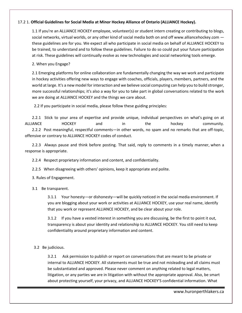#### 17.2 1. **Official Guidelines for Social Media at Minor Hockey Alliance of Ontario (ALLIANCE Hockey).**

1.1 If you're an ALLIANCE HOCKEY employee, volunteer(s) or student intern creating or contributing to blogs, social networks, virtual worlds, or any other kind of social media both on and off www.alliancehockey.com these guidelines are for you. We expect all who participate in social media on behalf of ALLIANCE HOCKEY to be trained, to understand and to follow these guidelines. Failure to do so could put your future participation at risk. These guidelines will continually evolve as new technologies and social networking tools emerge.

2. When you Engage?

2.1 Emerging platforms for online collaboration are fundamentally changing the way we work and participate in hockey activities offering new ways to engage with coaches, officials, players, members, partners, and the world at large. It's a new model for interaction and we believe social computing can help you to build stronger, more successful relationships; it's also a way for you to take part in global conversations related to the work we are doing at ALLIANCE HOCKEY and the things we care about.

2.2 If you participate in social media, please follow these guiding principles:

2.2.1 Stick to your area of expertise and provide unique, individual perspectives on what's going on at ALLIANCE HOCKEY and in the hockey community. 2.2.2 Post meaningful, respectful comments—in other words, no spam and no remarks that are off-topic, offensive or contrary to ALLIANCE HOCKEY codes of conduct.

2.2.3 Always pause and think before posting. That said, reply to comments in a timely manner, when a response is appropriate.

2.2.4 Respect proprietary information and content, and confidentiality.

2.2.5 When disagreeing with others' opinions, keep it appropriate and polite.

3. Rules of Engagement.

3.1 Be transparent.

3.1.1 Your honesty—or dishonesty—will be quickly noticed in the social media environment. If you are blogging about your work or activities at ALLIANCE HOCKEY, use your real name, identify that you work or represent ALLIANCE HOCKEY, and be clear about your role.

3.1.2 If you have a vested interest in something you are discussing, be the first to point it out, transparency is about your identity and relationship to ALLIANCE HOCKEY. You still need to keep confidentiality around proprietary information and content.

3.2 Be judicious.

3.2.1 Ask permission to publish or report on conversations that are meant to be private or internal to ALLIANCE HOCKEY. All statements must be true and not misleading and all claims must be substantiated and approved. Please never comment on anything related to legal matters, litigation, or any parties we are in litigation with without the appropriate approval. Also, be smart about protecting yourself, your privacy, and ALLIANCE HOCKEY'S confidential information. What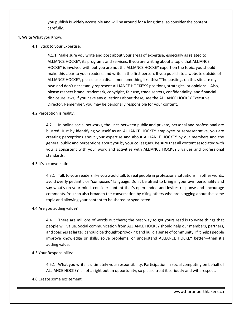you publish is widely accessible and will be around for a long time, so consider the content carefully.

#### 4. Write What you Know.

4.1 Stick to your Expertise.

4.1.1 Make sure you write and post about your areas of expertise, especially as related to ALLIANCE HOCKEY, its programs and services. If you are writing about a topic that ALLIANCE HOCKEY is involved with but you are not the ALLIANCE HOCKEY expert on the topic, you should make this clear to your readers, and write in the first person. If you publish to a website outside of ALLIANCE HOCKEY, please use a disclaimer something like this: "The postings on this site are my own and don't necessarily represent ALLIANCE HOCKEY'S positions, strategies, or opinions." Also, please respect brand, trademark, copyright, fair use, trade secrets, confidentiality, and financial disclosure laws; if you have any questions about these, see the ALLIANCE HOCKEY Executive Director. Remember, you may be personally responsible for your content.

#### 4.2 Perception is reality.

4.2.1 In online social networks, the lines between public and private, personal and professional are blurred. Just by identifying yourself as an ALLIANCE HOCKEY employee or representative, you are creating perceptions about your expertise and about ALLIANCE HOCKEY by our members and the general public and perceptions about you by your colleagues. Be sure that all content associated with you is consistent with your work and activities with ALLIANCE HOCKEY'S values and professional standards.

#### 4.3 It's a conversation.

4.3.1 Talk to your readers like you would talk to real people in professional situations. In other words, avoid overly pedantic or "composed" language. Don't be afraid to bring in your own personality and say what's on your mind, consider content that's open-ended and invites response and encourage comments. You can also broaden the conversation by citing others who are blogging about the same topic and allowing your content to be shared or syndicated.

#### 4.4 Are you adding value?

4.4.1 There are millions of words out there; the best way to get yours read is to write things that people will value. Social communication from ALLIANCE HOCKEY should help our members, partners, and coaches at large; it should be thought-provoking and build a sense of community. If it helps people improve knowledge or skills, solve problems, or understand ALLIANCE HOCKEY better—then it's adding value.

#### 4.5 Your Responsibility:

4.5.1 What you write is ultimately your responsibility. Participation in social computing on behalf of ALLIANCE HOCKEY is not a right but an opportunity, so please treat it seriously and with respect.

4.6 Create some excitement.